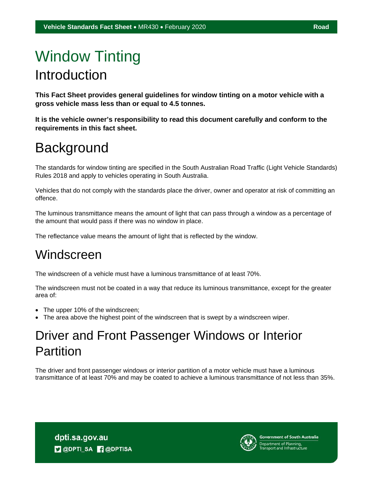# Window Tinting Introduction

**This Fact Sheet provides general guidelines for window tinting on a motor vehicle with a gross vehicle mass less than or equal to 4.5 tonnes.** 

**It is the vehicle owner's responsibility to read this document carefully and conform to the requirements in this fact sheet.** 

## **Background**

The standards for window tinting are specified in the South Australian Road Traffic (Light Vehicle Standards) Rules 2018 and apply to vehicles operating in South Australia.

Vehicles that do not comply with the standards place the driver, owner and operator at risk of committing an offence.

The luminous transmittance means the amount of light that can pass through a window as a percentage of the amount that would pass if there was no window in place.

The reflectance value means the amount of light that is reflected by the window.

### **Windscreen**

The windscreen of a vehicle must have a luminous transmittance of at least 70%.

The windscreen must not be coated in a way that reduce its luminous transmittance, except for the greater area of:

- The upper 10% of the windscreen;
- The area above the highest point of the windscreen that is swept by a windscreen wiper.

### Driver and Front Passenger Windows or Interior Partition

The driver and front passenger windows or interior partition of a motor vehicle must have a luminous transmittance of at least 70% and may be coated to achieve a luminous transmittance of not less than 35%.

dpti.sa.gov.au **D** @DPTI\_SA **R** @DPTISA



**Government of South Australia** Department of Planning,<br>Transport and Infrastructure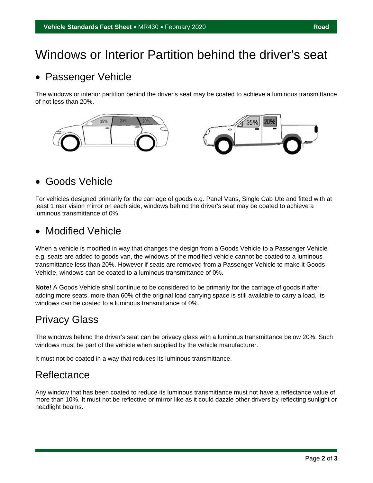### Windows or Interior Partition behind the driver's seat

#### • Passenger Vehicle

The windows or interior partition behind the driver's seat may be coated to achieve a luminous transmittance of not less than 20%.



#### Goods Vehicle

For vehicles designed primarily for the carriage of goods e.g. Panel Vans, Single Cab Ute and fitted with at least 1 rear vision mirror on each side, windows behind the driver's seat may be coated to achieve a luminous transmittance of 0%.

#### • Modified Vehicle

When a vehicle is modified in way that changes the design from a Goods Vehicle to a Passenger Vehicle e.g. seats are added to goods van, the windows of the modified vehicle cannot be coated to a luminous transmittance less than 20%. However if seats are removed from a Passenger Vehicle to make it Goods Vehicle, windows can be coated to a luminous transmittance of 0%.

**Note!** A Goods Vehicle shall continue to be considered to be primarily for the carriage of goods if after adding more seats, more than 60% of the original load carrying space is still available to carry a load, its windows can be coated to a luminous transmittance of 0%.

#### Privacy Glass

The windows behind the driver's seat can be privacy glass with a luminous transmittance below 20%. Such windows must be part of the vehicle when supplied by the vehicle manufacturer.

It must not be coated in a way that reduces its luminous transmittance.

#### **Reflectance**

Any window that has been coated to reduce its luminous transmittance must not have a reflectance value of more than 10%. It must not be reflective or mirror like as it could dazzle other drivers by reflecting sunlight or headlight beams.